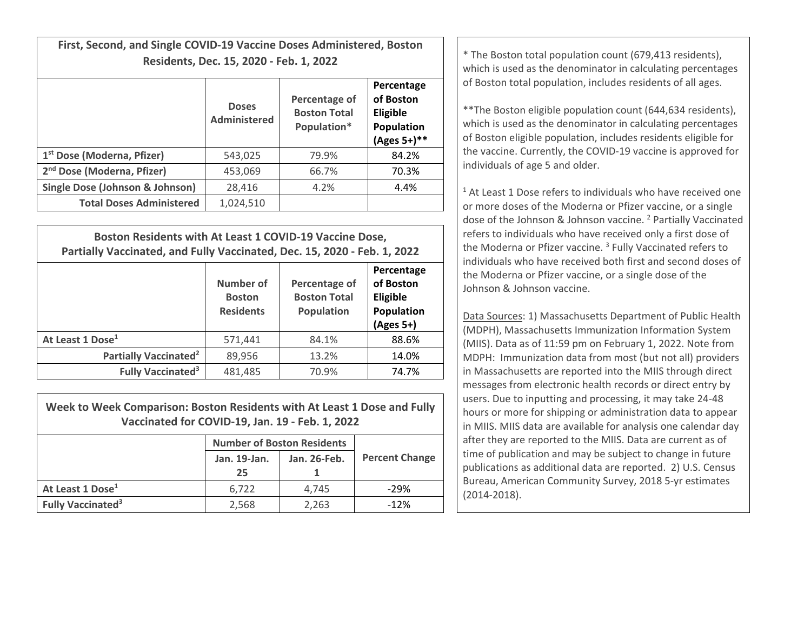**First, Second, and Single COVID‐19 Vaccine Doses Administered, Boston**

|                                        | <b>Doses</b><br>Administered | Percentage of<br><b>Boston Total</b><br>Population* | Percentage<br>of Boston<br>Eligible<br>Population<br>(Ages 5+)** |
|----------------------------------------|------------------------------|-----------------------------------------------------|------------------------------------------------------------------|
| 1 <sup>st</sup> Dose (Moderna, Pfizer) | 543,025                      | 79.9%                                               | 84.2%                                                            |
| 2 <sup>nd</sup> Dose (Moderna, Pfizer) | 453,069                      | 66.7%                                               | 70.3%                                                            |
| Single Dose (Johnson & Johnson)        | 28,416                       | 4.2%                                                | 4.4%                                                             |
| <b>Total Doses Administered</b>        | 1,024,510                    |                                                     |                                                                  |

| Boston Residents with At Least 1 COVID-19 Vaccine Dose,<br>Partially Vaccinated, and Fully Vaccinated, Dec. 15, 2020 - Feb. 1, 2022 |                                                |                                                           |                                                                  |  |
|-------------------------------------------------------------------------------------------------------------------------------------|------------------------------------------------|-----------------------------------------------------------|------------------------------------------------------------------|--|
|                                                                                                                                     | Number of<br><b>Boston</b><br><b>Residents</b> | Percentage of<br><b>Boston Total</b><br><b>Population</b> | Percentage<br>of Boston<br>Eligible<br>Population<br>$(Ages 5+)$ |  |
| At Least 1 Dose <sup>1</sup>                                                                                                        | 571,441                                        | 84.1%                                                     | 88.6%                                                            |  |
| Partially Vaccinated <sup>2</sup>                                                                                                   | 89,956                                         | 13.2%                                                     | 14.0%                                                            |  |
| <b>Fully Vaccinated<sup>3</sup></b>                                                                                                 | 481,485                                        | 70.9%                                                     | 74.7%                                                            |  |

| Week to Week Comparison: Boston Residents with At Least 1 Dose and Fully |
|--------------------------------------------------------------------------|
| Vaccinated for COVID-19, Jan. 19 - Feb. 1, 2022                          |

|                                     | <b>Number of Boston Residents</b> |              |                       |
|-------------------------------------|-----------------------------------|--------------|-----------------------|
|                                     | Jan. 19-Jan.<br>25                | Jan. 26-Feb. | <b>Percent Change</b> |
| At Least 1 Dose <sup>1</sup>        | 6.722                             | 4.745        | $-29%$                |
| <b>Fully Vaccinated<sup>3</sup></b> | 2,568                             | 2,263        | $-12%$                |

**Residents, Dec. 15, 2020 - Feb. 1, 2022 Cancel 19 and 19 and 19 and 19 and 19 and 19 and 19 and 19 and 19 and 19 and 19 and 19 and 19 and 19 and 19 and 19 and 19 and 19 and 19 and 19 and 19 and 19 and 19 and 19 and 19 a** of Boston total population, includes residents of all ages.

> \*\*The Boston eligible population count (644,634 residents), which is used as the denominator in calculating percentages of Boston eligible population, includes residents eligible for the vaccine. Currently, the COVID‐19 vaccine is approved for individuals of age 5 and older.

 $1$  At Least 1 Dose refers to individuals who have received one or more doses of the Moderna or Pfizer vaccine, or <sup>a</sup> single dose of the Johnson & Johnson vaccine. <sup>2</sup> Partially Vaccinated refers to individuals who have received only <sup>a</sup> first dose of the Moderna or Pfizer vaccine. <sup>3</sup> Fully Vaccinated refers to individuals who have received both first and second doses of the Moderna or Pfizer vaccine, or <sup>a</sup> single dose of the Johnson& Johnson vaccine.

Data Sources: 1) Massachusetts Department of Public Health (MDPH), Massachusetts Immunization Information System (MIIS). Data as of 11:59 pm on February 1, 2022. Note from MDPH: Immunization data from most (but not all) providers in Massachusetts are reported into the MIIS through direct messages from electronic health records or direct entry by users. Due to inputting and processing, it may take 24‐48 hours or more for shipping or administration data to appear in MIIS. MIIS data are available for analysis one calendar day after they are reported to the MIIS. Data are current as of time of publication and may be subject to change in future publications as additional data are reported. 2) U.S. Census Bureau, American Community Survey, 2018 5‐yr estimates (2014‐2018).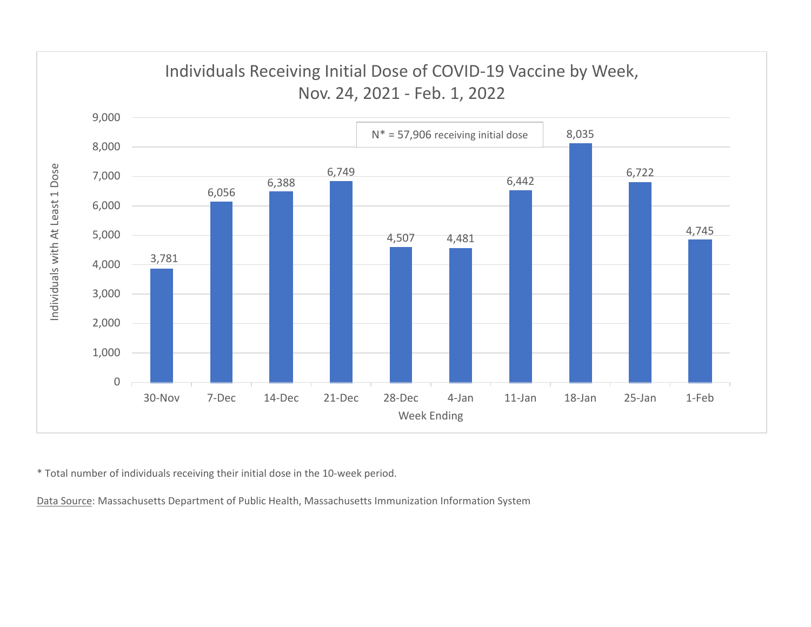

\* Total number of individuals receiving their initial dose in the 10‐week period.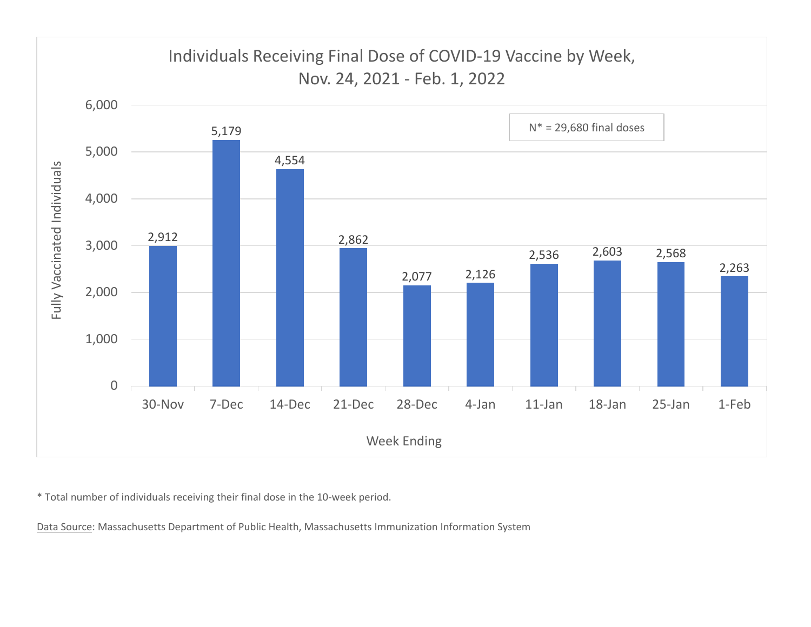

\* Total number of individuals receiving their final dose in the 10‐week period.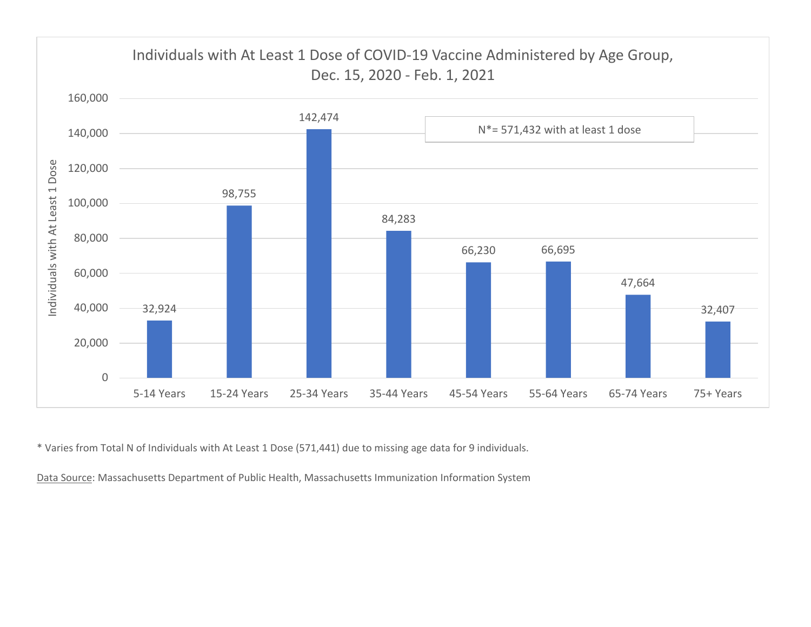

\* Varies from Total N of Individuals with At Least 1 Dose (571,441) due to missing age data for 9 individuals.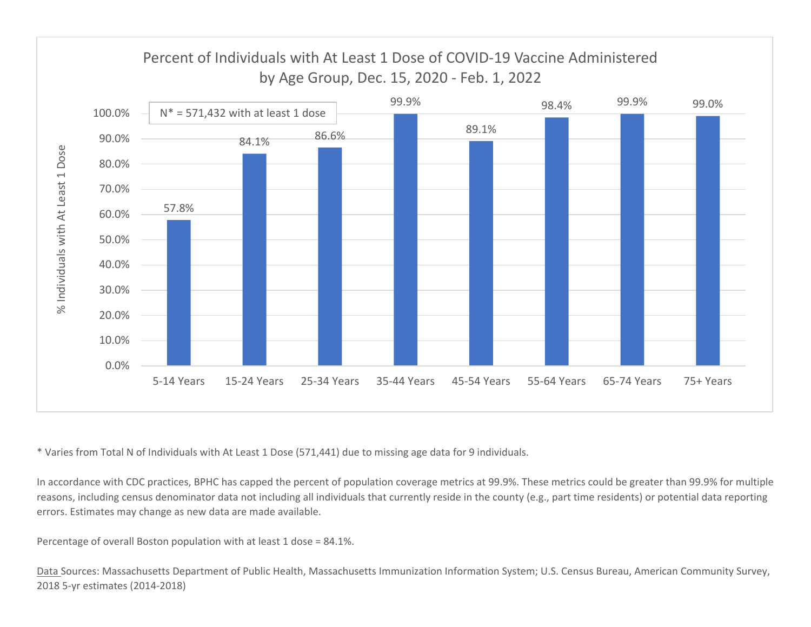

\* Varies from Total N of Individuals with At Least 1 Dose (571,441) due to missing age data for 9 individuals.

In accordance with CDC practices, BPHC has capped the percent of population coverage metrics at 99.9%. These metrics could be greater than 99.9% for multiple reasons, including census denominator data not including all individuals that currently reside in the county (e.g., part time residents) or potential data reporting errors. Estimates may change as new data are made available.

Percentage of overall Boston population with at least 1 dose <sup>=</sup> 84.1%.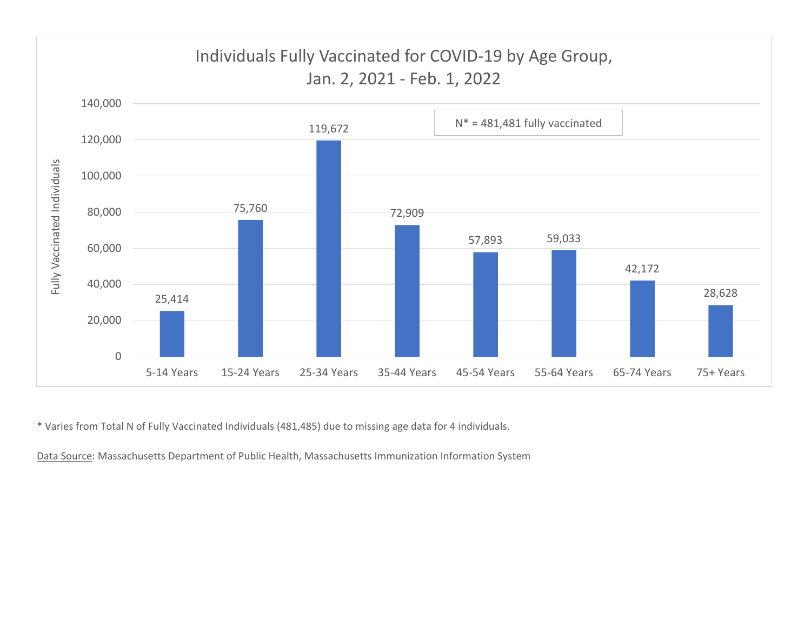

\* Varies from Total N of Fully Vaccinated Individuals (481,485) due to missing age data for 4 individuals.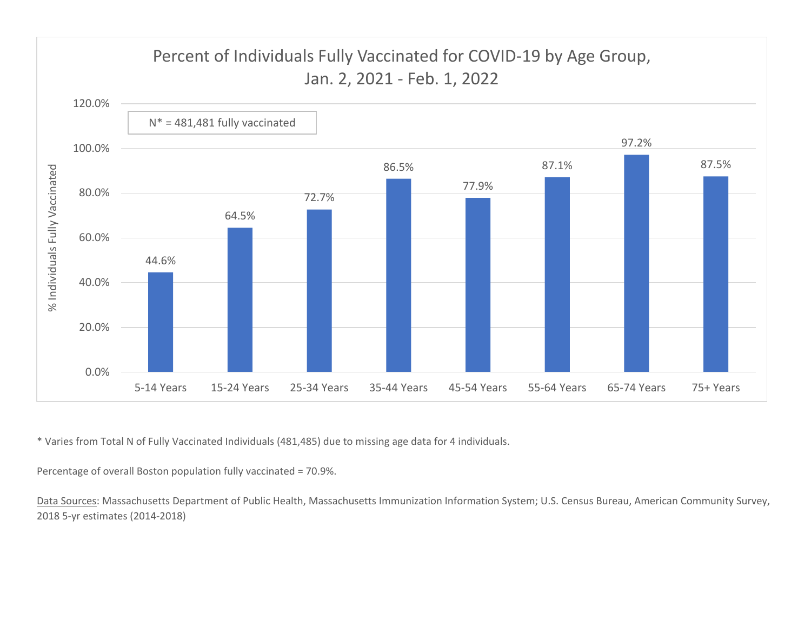

\* Varies from Total N of Fully Vaccinated Individuals (481,485) due to missing age data for 4 individuals.

Percentage of overall Boston population fully vaccinated <sup>=</sup> 70.9%.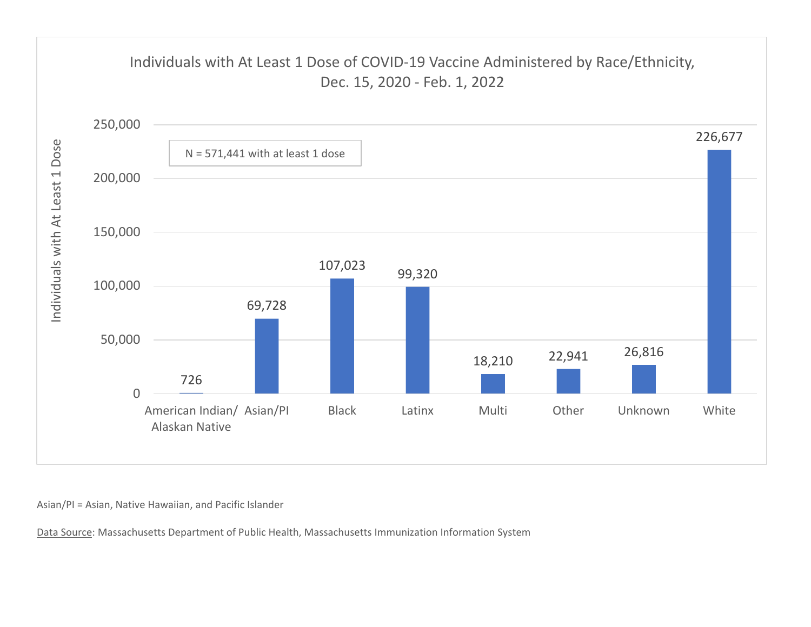

Asian/PI <sup>=</sup> Asian, Native Hawaiian, and Pacific Islander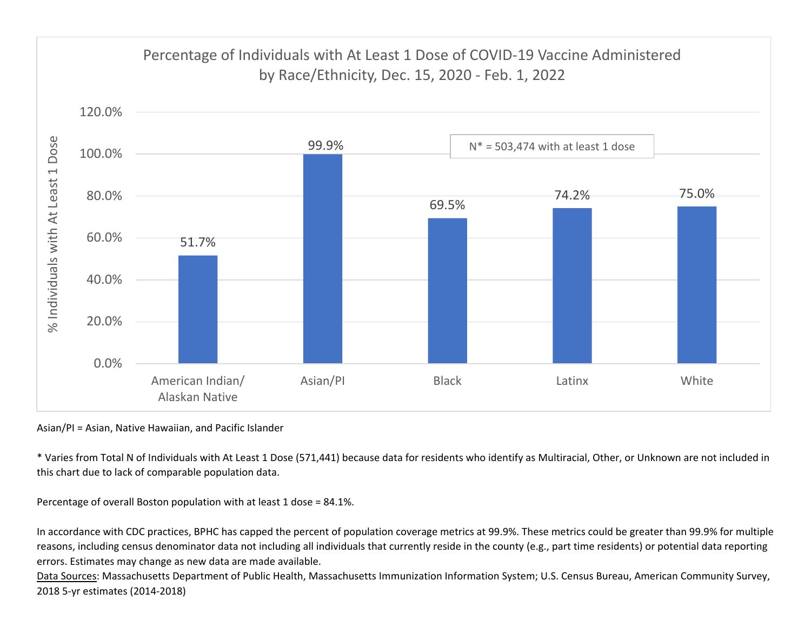

Asian/PI <sup>=</sup> Asian, Native Hawaiian, and Pacific Islander

\* Varies from Total N of Individuals with At Least 1 Dose (571,441) because data for residents who identify as Multiracial, Other, or Unknown are not included in this chart due to lack of comparable population data.

Percentage of overall Boston population with at least 1 dose <sup>=</sup> 84.1%.

In accordance with CDC practices, BPHC has capped the percent of population coverage metrics at 99.9%. These metrics could be greater than 99.9% for multiple reasons, including census denominator data not including all individuals that currently reside in the county (e.g., part time residents) or potential data reporting errors. Estimates may change as new data are made available.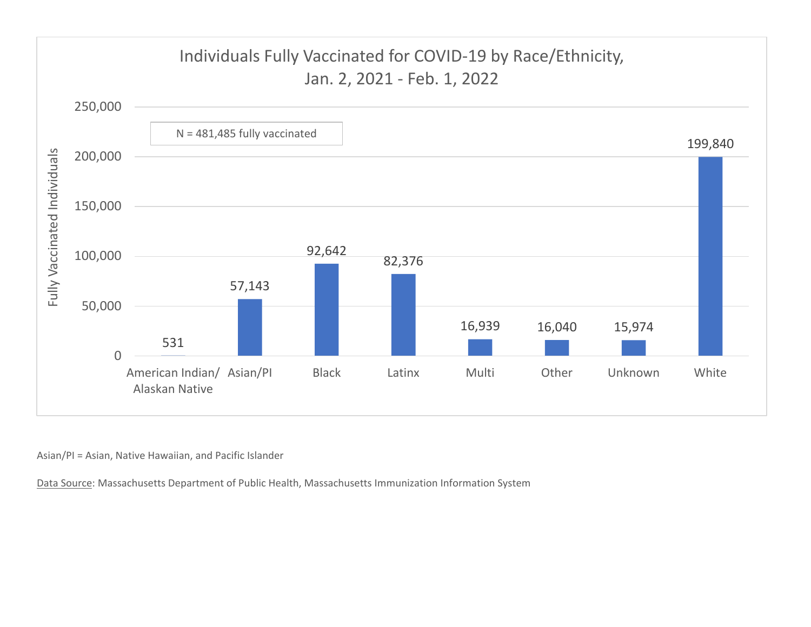

Asian/PI <sup>=</sup> Asian, Native Hawaiian, and Pacific Islander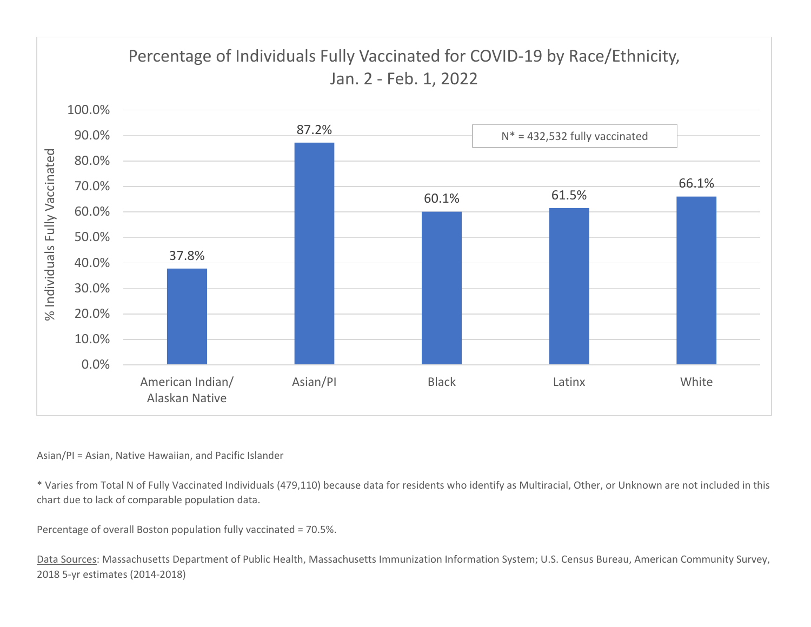

## Asian/PI <sup>=</sup> Asian, Native Hawaiian, and Pacific Islander

\* Varies from Total N of Fully Vaccinated Individuals (479,110) because data for residents who identify as Multiracial, Other, or Unknown are not included in this chart due to lack of comparable population data.

Percentage of overall Boston population fully vaccinated <sup>=</sup> 70.5%.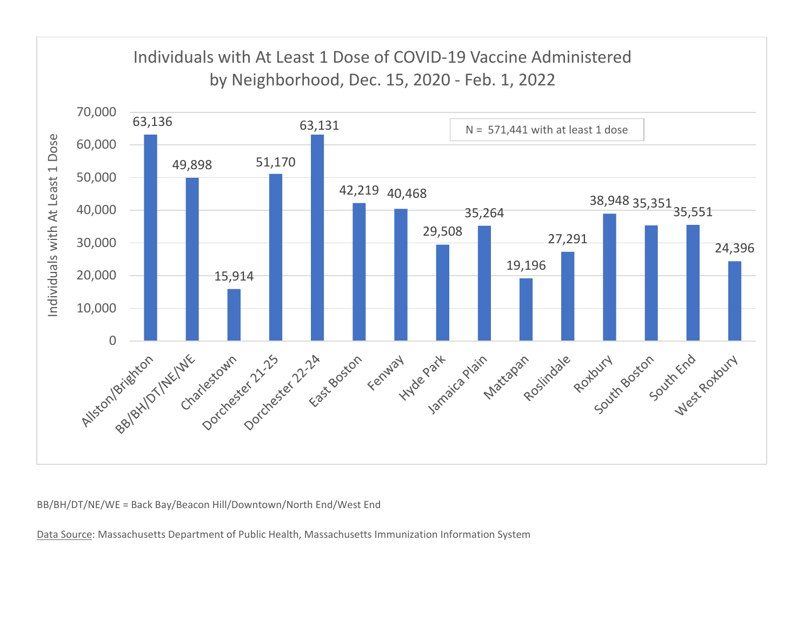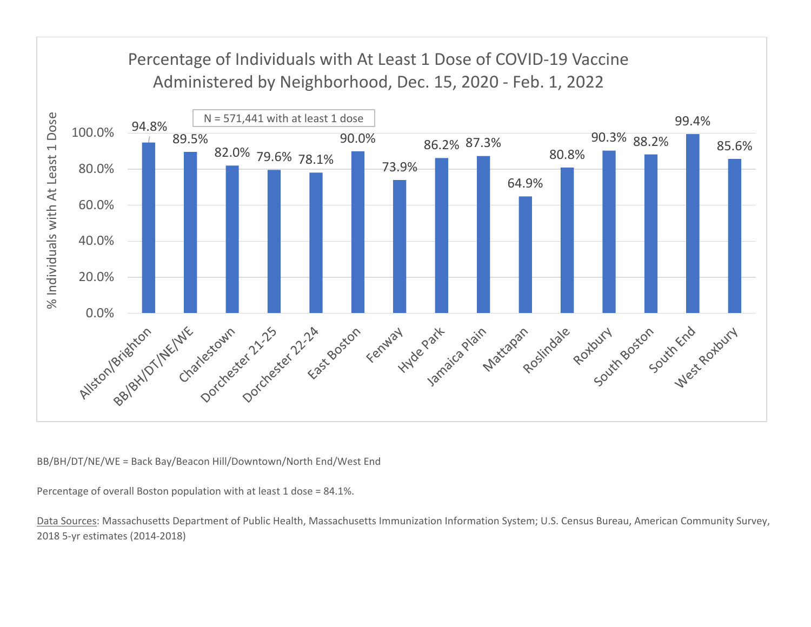

Percentage of overall Boston population with at least 1 dose <sup>=</sup> 84.1%.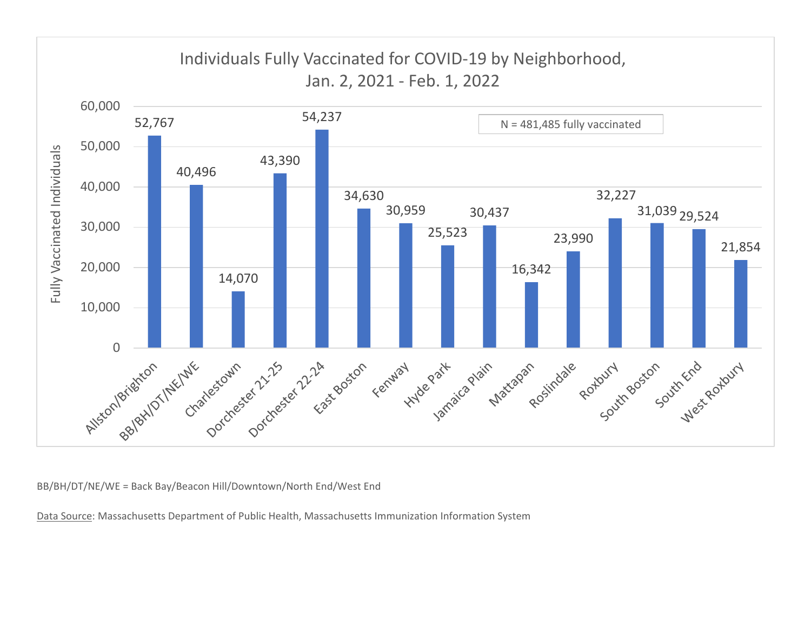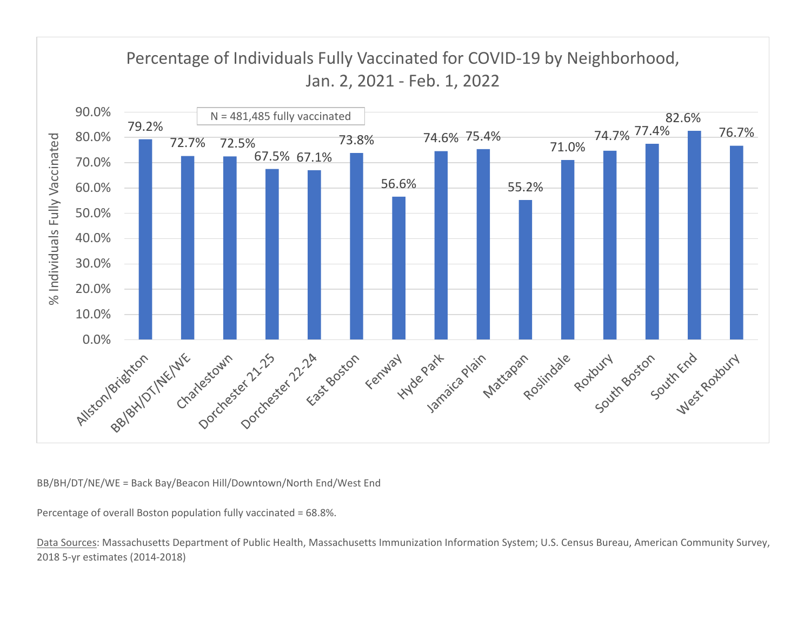

Percentage of overall Boston population fully vaccinated <sup>=</sup> 68.8%.